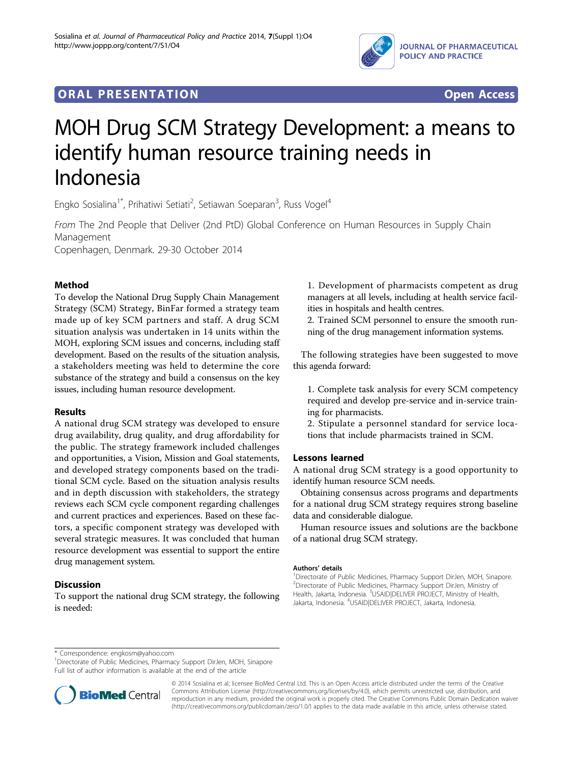

# **ORAL PRESENTATION CONSUMING ACCESS**



# MOH Drug SCM Strategy Development: a means to identify human resource training needs in Indonesia

Engko Sosialina<sup>1\*</sup>, Prihatiwi Setiati<sup>2</sup>, Setiawan Soeparan<sup>3</sup>, Russ Vogel<sup>4</sup>

From The 2nd People that Deliver (2nd PtD) Global Conference on Human Resources in Supply Chain Management

Copenhagen, Denmark. 29-30 October 2014

## Method

To develop the National Drug Supply Chain Management Strategy (SCM) Strategy, BinFar formed a strategy team made up of key SCM partners and staff. A drug SCM situation analysis was undertaken in 14 units within the MOH, exploring SCM issues and concerns, including staff development. Based on the results of the situation analysis, a stakeholders meeting was held to determine the core substance of the strategy and build a consensus on the key issues, including human resource development.

### Results

A national drug SCM strategy was developed to ensure drug availability, drug quality, and drug affordability for the public. The strategy framework included challenges and opportunities, a Vision, Mission and Goal statements, and developed strategy components based on the traditional SCM cycle. Based on the situation analysis results and in depth discussion with stakeholders, the strategy reviews each SCM cycle component regarding challenges and current practices and experiences. Based on these factors, a specific component strategy was developed with several strategic measures. It was concluded that human resource development was essential to support the entire drug management system.

### **Discussion**

To support the national drug SCM strategy, the following is needed:

1. Development of pharmacists competent as drug managers at all levels, including at health service facilities in hospitals and health centres.

2. Trained SCM personnel to ensure the smooth running of the drug management information systems.

The following strategies have been suggested to move this agenda forward:

1. Complete task analysis for every SCM competency required and develop pre-service and in-service training for pharmacists.

2. Stipulate a personnel standard for service locations that include pharmacists trained in SCM.

### Lessons learned

A national drug SCM strategy is a good opportunity to identify human resource SCM needs.

Obtaining consensus across programs and departments for a national drug SCM strategy requires strong baseline data and considerable dialogue.

Human resource issues and solutions are the backbone of a national drug SCM strategy.

#### Authors' details <sup>1</sup>

<sup>1</sup>Directorate of Public Medicines, Pharmacy Support DirJen, MOH, Sinapore. 2 Directorate of Public Medicines, Pharmacy Support DirJen, Ministry of Health, Jakarta, Indonesia. <sup>3</sup>USAID|DELIVER PROJECT, Ministry of Health Jakarta, Indonesia. <sup>4</sup>USAID|DELIVER PROJECT, Jakarta, Indonesia.

\* Correspondence: [engkosm@yahoo.com](mailto:engkosm@yahoo.com)

<sup>1</sup>Directorate of Public Medicines, Pharmacy Support DirJen, MOH, Sinapore Full list of author information is available at the end of the article



© 2014 Sosialina et al; licensee BioMed Central Ltd. This is an Open Access article distributed under the terms of the Creative Commons Attribution License [\(http://creativecommons.org/licenses/by/4.0](http://creativecommons.org/licenses/by/4.0)), which permits unrestricted use, distribution, and reproduction in any medium, provided the original work is properly cited. The Creative Commons Public Domain Dedication waiver [\(http://creativecommons.org/publicdomain/zero/1.0/](http://creativecommons.org/publicdomain/zero/1.0/)) applies to the data made available in this article, unless otherwise stated.